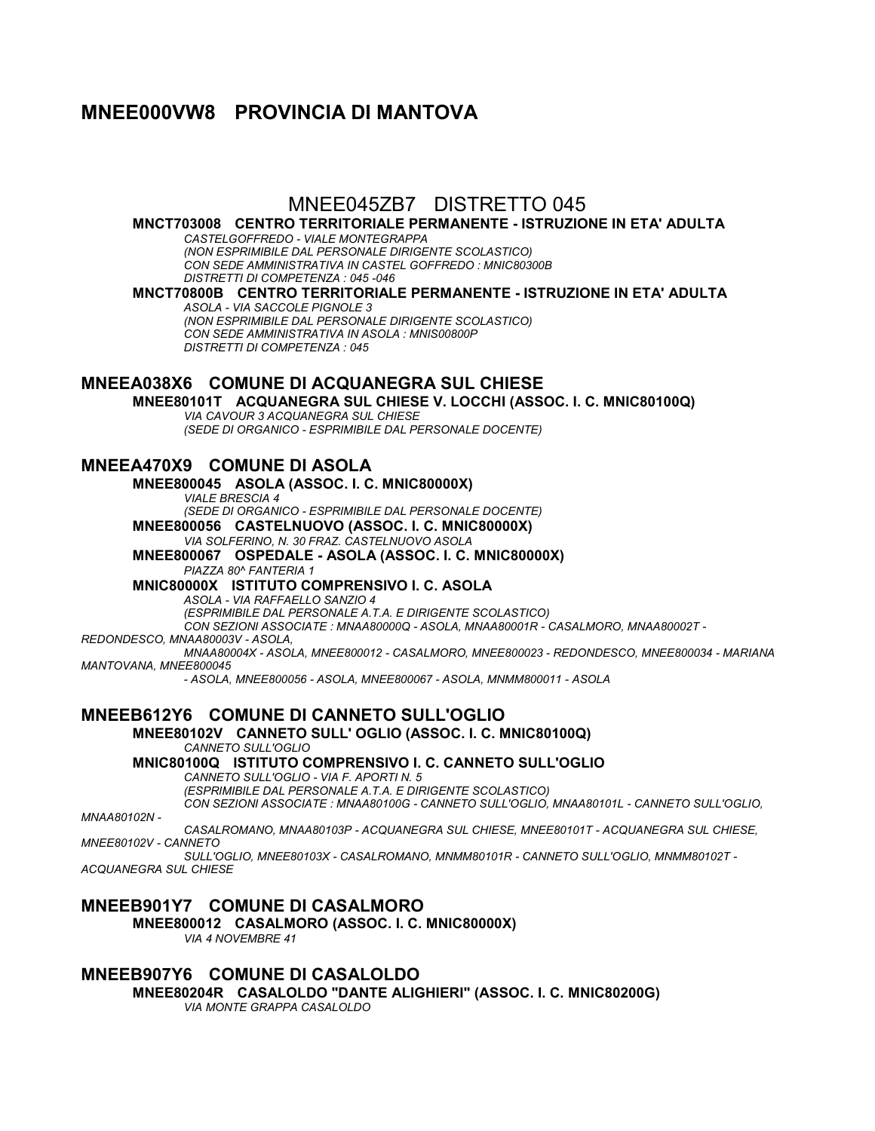# **MNEE000VW8 PROVINCIA DI MANTOVA**

## MNEE045ZB7 DISTRETTO 045

**MNCT703008 CENTRO TERRITORIALE PERMANENTE - ISTRUZIONE IN ETA' ADULTA** *CASTELGOFFREDO - VIALE MONTEGRAPPA*

*(NON ESPRIMIBILE DAL PERSONALE DIRIGENTE SCOLASTICO) CON SEDE AMMINISTRATIVA IN CASTEL GOFFREDO : MNIC80300B DISTRETTI DI COMPETENZA : 045 -046*

**MNCT70800B CENTRO TERRITORIALE PERMANENTE - ISTRUZIONE IN ETA' ADULTA** *ASOLA - VIA SACCOLE PIGNOLE 3*

*(NON ESPRIMIBILE DAL PERSONALE DIRIGENTE SCOLASTICO) CON SEDE AMMINISTRATIVA IN ASOLA : MNIS00800P DISTRETTI DI COMPETENZA : 045*

### **MNEEA038X6 COMUNE DI ACQUANEGRA SUL CHIESE**

**MNEE80101T ACQUANEGRA SUL CHIESE V. LOCCHI (ASSOC. I. C. MNIC80100Q)**

*VIA CAVOUR 3 ACQUANEGRA SUL CHIESE*

*(SEDE DI ORGANICO - ESPRIMIBILE DAL PERSONALE DOCENTE)*

## **MNEEA470X9 COMUNE DI ASOLA**

**MNEE800045 ASOLA (ASSOC. I. C. MNIC80000X)** *VIALE BRESCIA 4 (SEDE DI ORGANICO - ESPRIMIBILE DAL PERSONALE DOCENTE)* **MNEE800056 CASTELNUOVO (ASSOC. I. C. MNIC80000X)** *VIA SOLFERINO, N. 30 FRAZ. CASTELNUOVO ASOLA*

**MNEE800067 OSPEDALE - ASOLA (ASSOC. I. C. MNIC80000X)** *PIAZZA 80^ FANTERIA 1*

**MNIC80000X ISTITUTO COMPRENSIVO I. C. ASOLA**

*ASOLA - VIA RAFFAELLO SANZIO 4*

*(ESPRIMIBILE DAL PERSONALE A.T.A. E DIRIGENTE SCOLASTICO)*

*CON SEZIONI ASSOCIATE : MNAA80000Q - ASOLA, MNAA80001R - CASALMORO, MNAA80002T -*

*REDONDESCO, MNAA80003V - ASOLA,*

*MNAA80004X - ASOLA, MNEE800012 - CASALMORO, MNEE800023 - REDONDESCO, MNEE800034 - MARIANA MANTOVANA, MNEE800045*

*- ASOLA, MNEE800056 - ASOLA, MNEE800067 - ASOLA, MNMM800011 - ASOLA*

**MNEEB612Y6 COMUNE DI CANNETO SULL'OGLIO**

#### **MNEE80102V CANNETO SULL' OGLIO (ASSOC. I. C. MNIC80100Q)** *CANNETO SULL'OGLIO*

**MNIC80100Q ISTITUTO COMPRENSIVO I. C. CANNETO SULL'OGLIO** *CANNETO SULL'OGLIO - VIA F. APORTI N. 5*

*(ESPRIMIBILE DAL PERSONALE A.T.A. E DIRIGENTE SCOLASTICO)*

*CON SEZIONI ASSOCIATE : MNAA80100G - CANNETO SULL'OGLIO, MNAA80101L - CANNETO SULL'OGLIO,* 

*MNAA80102N -*

*CASALROMANO, MNAA80103P - ACQUANEGRA SUL CHIESE, MNEE80101T - ACQUANEGRA SUL CHIESE, MNEE80102V - CANNETO*

*SULL'OGLIO, MNEE80103X - CASALROMANO, MNMM80101R - CANNETO SULL'OGLIO, MNMM80102T - ACQUANEGRA SUL CHIESE*

#### **MNEEB901Y7 COMUNE DI CASALMORO MNEE800012 CASALMORO (ASSOC. I. C. MNIC80000X)** *VIA 4 NOVEMBRE 41*

**MNEEB907Y6 COMUNE DI CASALOLDO MNEE80204R CASALOLDO "DANTE ALIGHIERI" (ASSOC. I. C. MNIC80200G)** *VIA MONTE GRAPPA CASALOLDO*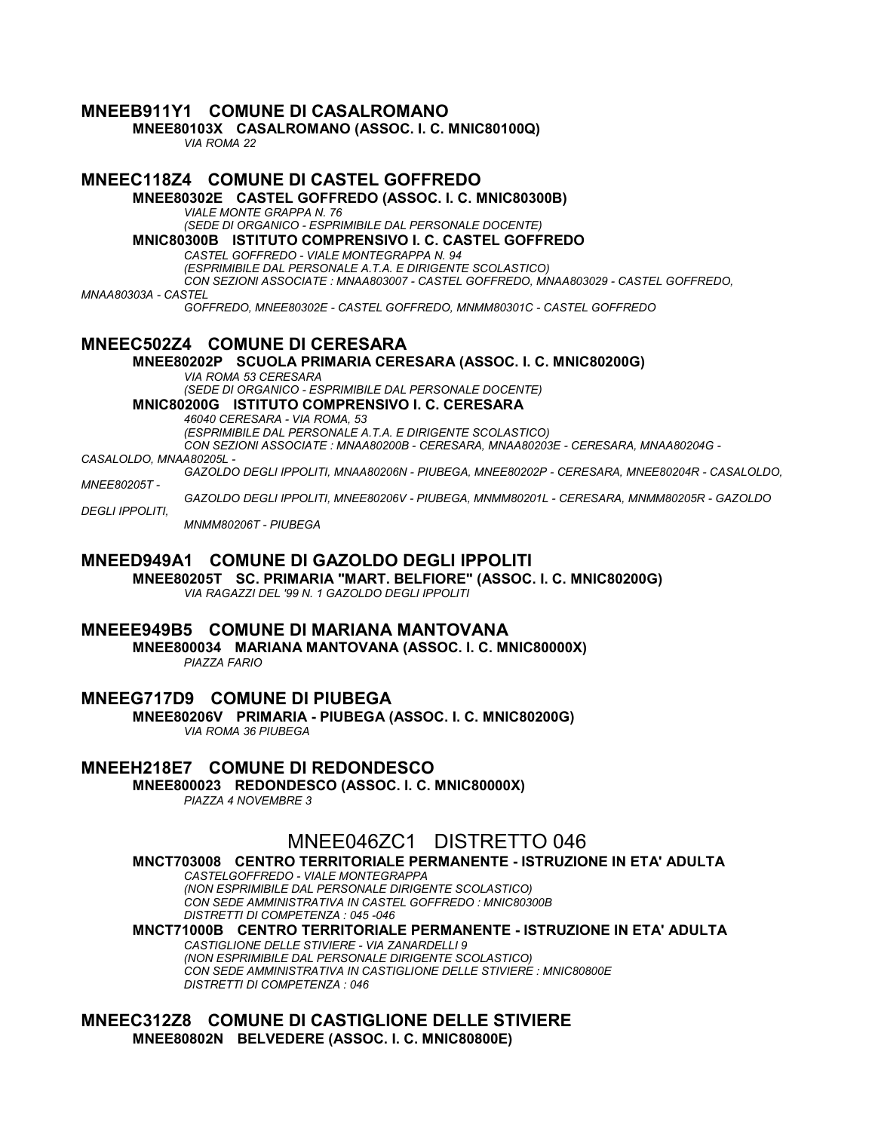### **MNEEB911Y1 COMUNE DI CASALROMANO MNEE80103X CASALROMANO (ASSOC. I. C. MNIC80100Q)** *VIA ROMA 22* **MNEEC118Z4 COMUNE DI CASTEL GOFFREDO MNEE80302E CASTEL GOFFREDO (ASSOC. I. C. MNIC80300B)** *VIALE MONTE GRAPPA N. 76 (SEDE DI ORGANICO - ESPRIMIBILE DAL PERSONALE DOCENTE)* **MNIC80300B ISTITUTO COMPRENSIVO I. C. CASTEL GOFFREDO** *CASTEL GOFFREDO - VIALE MONTEGRAPPA N. 94 (ESPRIMIBILE DAL PERSONALE A.T.A. E DIRIGENTE SCOLASTICO) CON SEZIONI ASSOCIATE : MNAA803007 - CASTEL GOFFREDO, MNAA803029 - CASTEL GOFFREDO, MNAA80303A - CASTEL GOFFREDO, MNEE80302E - CASTEL GOFFREDO, MNMM80301C - CASTEL GOFFREDO* **MNEEC502Z4 COMUNE DI CERESARA MNEE80202P SCUOLA PRIMARIA CERESARA (ASSOC. I. C. MNIC80200G)** *VIA ROMA 53 CERESARA (SEDE DI ORGANICO - ESPRIMIBILE DAL PERSONALE DOCENTE)* **MNIC80200G ISTITUTO COMPRENSIVO I. C. CERESARA** *46040 CERESARA - VIA ROMA, 53 (ESPRIMIBILE DAL PERSONALE A.T.A. E DIRIGENTE SCOLASTICO) CON SEZIONI ASSOCIATE : MNAA80200B - CERESARA, MNAA80203E - CERESARA, MNAA80204G - CASALOLDO, MNAA80205L - GAZOLDO DEGLI IPPOLITI, MNAA80206N - PIUBEGA, MNEE80202P - CERESARA, MNEE80204R - CASALOLDO, MNEE80205T - GAZOLDO DEGLI IPPOLITI, MNEE80206V - PIUBEGA, MNMM80201L - CERESARA, MNMM80205R - GAZOLDO DEGLI IPPOLITI, MNMM80206T - PIUBEGA*

### **MNEED949A1 COMUNE DI GAZOLDO DEGLI IPPOLITI**

**MNEE80205T SC. PRIMARIA "MART. BELFIORE" (ASSOC. I. C. MNIC80200G)** *VIA RAGAZZI DEL '99 N. 1 GAZOLDO DEGLI IPPOLITI*

### **MNEEE949B5 COMUNE DI MARIANA MANTOVANA**

**MNEE800034 MARIANA MANTOVANA (ASSOC. I. C. MNIC80000X)** *PIAZZA FARIO*

**MNEEG717D9 COMUNE DI PIUBEGA MNEE80206V PRIMARIA - PIUBEGA (ASSOC. I. C. MNIC80200G)**

*VIA ROMA 36 PIUBEGA*

### **MNEEH218E7 COMUNE DI REDONDESCO**

**MNEE800023 REDONDESCO (ASSOC. I. C. MNIC80000X)**

*PIAZZA 4 NOVEMBRE 3*

## MNEE046ZC1 DISTRETTO 046

**MNCT703008 CENTRO TERRITORIALE PERMANENTE - ISTRUZIONE IN ETA' ADULTA**

*CASTELGOFFREDO - VIALE MONTEGRAPPA (NON ESPRIMIBILE DAL PERSONALE DIRIGENTE SCOLASTICO) CON SEDE AMMINISTRATIVA IN CASTEL GOFFREDO : MNIC80300B DISTRETTI DI COMPETENZA : 045 -046*

**MNCT71000B CENTRO TERRITORIALE PERMANENTE - ISTRUZIONE IN ETA' ADULTA** *CASTIGLIONE DELLE STIVIERE - VIA ZANARDELLI 9 (NON ESPRIMIBILE DAL PERSONALE DIRIGENTE SCOLASTICO) CON SEDE AMMINISTRATIVA IN CASTIGLIONE DELLE STIVIERE : MNIC80800E DISTRETTI DI COMPETENZA : 046*

**MNEEC312Z8 COMUNE DI CASTIGLIONE DELLE STIVIERE MNEE80802N BELVEDERE (ASSOC. I. C. MNIC80800E)**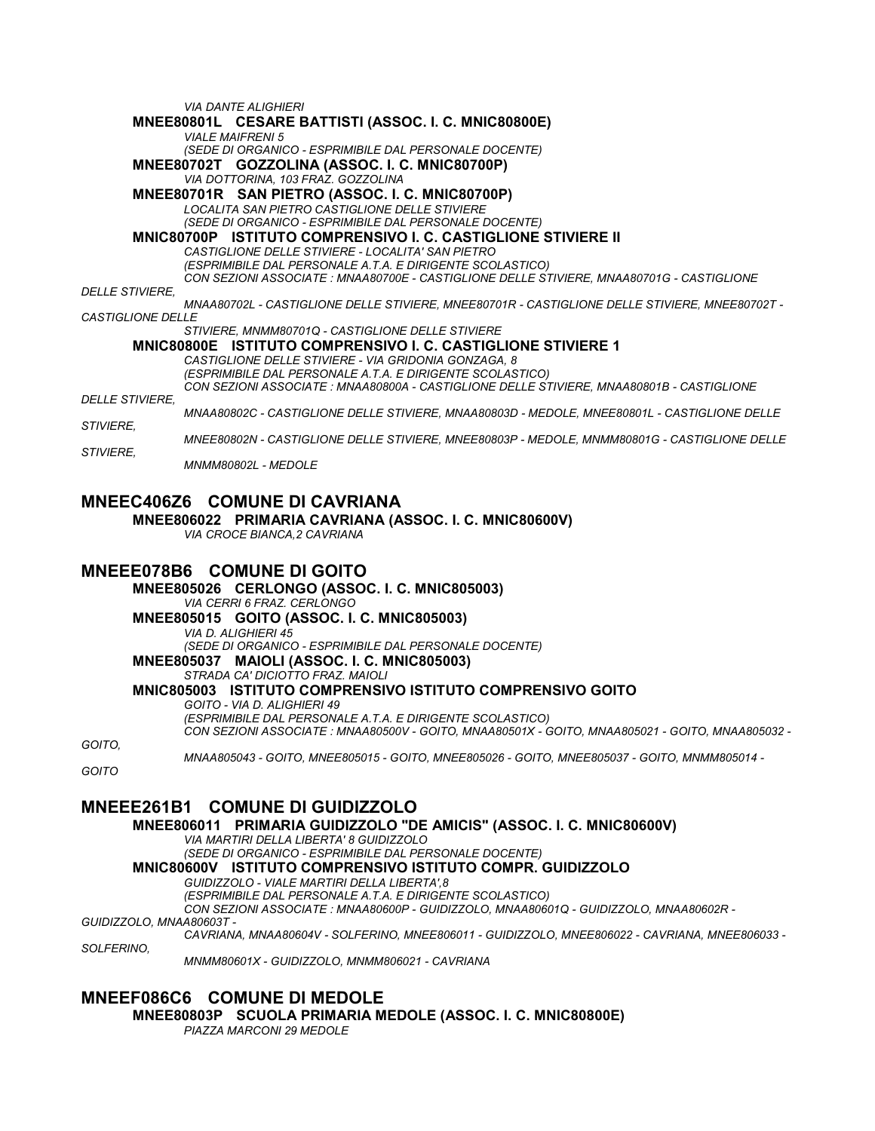*VIA DANTE ALIGHIERI* **MNEE80801L CESARE BATTISTI (ASSOC. I. C. MNIC80800E)** *VIALE MAIFRENI 5 (SEDE DI ORGANICO - ESPRIMIBILE DAL PERSONALE DOCENTE)* **MNEE80702T GOZZOLINA (ASSOC. I. C. MNIC80700P)** *VIA DOTTORINA, 103 FRAZ. GOZZOLINA* **MNEE80701R SAN PIETRO (ASSOC. I. C. MNIC80700P)** *LOCALITA SAN PIETRO CASTIGLIONE DELLE STIVIERE (SEDE DI ORGANICO - ESPRIMIBILE DAL PERSONALE DOCENTE)* **MNIC80700P ISTITUTO COMPRENSIVO I. C. CASTIGLIONE STIVIERE II** *CASTIGLIONE DELLE STIVIERE - LOCALITA' SAN PIETRO (ESPRIMIBILE DAL PERSONALE A.T.A. E DIRIGENTE SCOLASTICO) CON SEZIONI ASSOCIATE : MNAA80700E - CASTIGLIONE DELLE STIVIERE, MNAA80701G - CASTIGLIONE DELLE STIVIERE, MNAA80702L - CASTIGLIONE DELLE STIVIERE, MNEE80701R - CASTIGLIONE DELLE STIVIERE, MNEE80702T - CASTIGLIONE DELLE STIVIERE, MNMM80701Q - CASTIGLIONE DELLE STIVIERE* **MNIC80800E ISTITUTO COMPRENSIVO I. C. CASTIGLIONE STIVIERE 1** *CASTIGLIONE DELLE STIVIERE - VIA GRIDONIA GONZAGA, 8 (ESPRIMIBILE DAL PERSONALE A.T.A. E DIRIGENTE SCOLASTICO) CON SEZIONI ASSOCIATE : MNAA80800A - CASTIGLIONE DELLE STIVIERE, MNAA80801B - CASTIGLIONE DELLE STIVIERE, MNAA80802C - CASTIGLIONE DELLE STIVIERE, MNAA80803D - MEDOLE, MNEE80801L - CASTIGLIONE DELLE STIVIERE, MNEE80802N - CASTIGLIONE DELLE STIVIERE, MNEE80803P - MEDOLE, MNMM80801G - CASTIGLIONE DELLE STIVIERE, MNMM80802L - MEDOLE*

### **MNEEC406Z6 COMUNE DI CAVRIANA**

**MNEE806022 PRIMARIA CAVRIANA (ASSOC. I. C. MNIC80600V)**

*VIA CROCE BIANCA,2 CAVRIANA*

### **MNEEE078B6 COMUNE DI GOITO**

**MNEE805026 CERLONGO (ASSOC. I. C. MNIC805003)** *VIA CERRI 6 FRAZ. CERLONGO* **MNEE805015 GOITO (ASSOC. I. C. MNIC805003)** *VIA D. ALIGHIERI 45 (SEDE DI ORGANICO - ESPRIMIBILE DAL PERSONALE DOCENTE)* **MNEE805037 MAIOLI (ASSOC. I. C. MNIC805003)** *STRADA CA' DICIOTTO FRAZ. MAIOLI* **MNIC805003 ISTITUTO COMPRENSIVO ISTITUTO COMPRENSIVO GOITO** *GOITO - VIA D. ALIGHIERI 49 (ESPRIMIBILE DAL PERSONALE A.T.A. E DIRIGENTE SCOLASTICO) CON SEZIONI ASSOCIATE : MNAA80500V - GOITO, MNAA80501X - GOITO, MNAA805021 - GOITO, MNAA805032 -*

*GOITO,*

*MNAA805043 - GOITO, MNEE805015 - GOITO, MNEE805026 - GOITO, MNEE805037 - GOITO, MNMM805014 -*

*GOITO*

## **MNEEE261B1 COMUNE DI GUIDIZZOLO**

**MNEE806011 PRIMARIA GUIDIZZOLO "DE AMICIS" (ASSOC. I. C. MNIC80600V)** *VIA MARTIRI DELLA LIBERTA' 8 GUIDIZZOLO (SEDE DI ORGANICO - ESPRIMIBILE DAL PERSONALE DOCENTE)* **MNIC80600V ISTITUTO COMPRENSIVO ISTITUTO COMPR. GUIDIZZOLO** *GUIDIZZOLO - VIALE MARTIRI DELLA LIBERTA',8 (ESPRIMIBILE DAL PERSONALE A.T.A. E DIRIGENTE SCOLASTICO) CON SEZIONI ASSOCIATE : MNAA80600P - GUIDIZZOLO, MNAA80601Q - GUIDIZZOLO, MNAA80602R - GUIDIZZOLO, MNAA80603T - CAVRIANA, MNAA80604V - SOLFERINO, MNEE806011 - GUIDIZZOLO, MNEE806022 - CAVRIANA, MNEE806033 -*

*SOLFERINO,*

*MNMM80601X - GUIDIZZOLO, MNMM806021 - CAVRIANA*

## **MNEEF086C6 COMUNE DI MEDOLE**

**MNEE80803P SCUOLA PRIMARIA MEDOLE (ASSOC. I. C. MNIC80800E)**

*PIAZZA MARCONI 29 MEDOLE*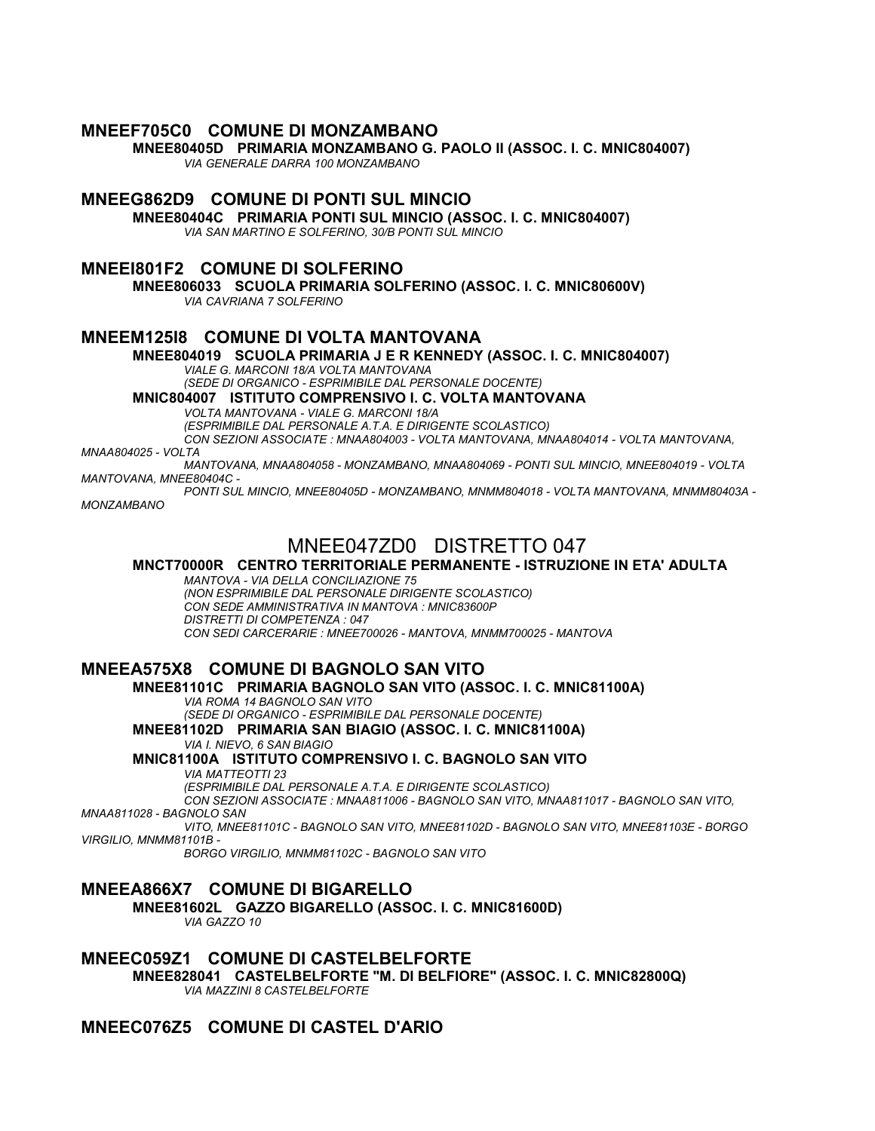#### **MNEEF705C0 COMUNE DI MONZAMBANO**

**MNEE80405D PRIMARIA MONZAMBANO G. PAOLO II (ASSOC. I. C. MNIC804007)**

*VIA GENERALE DARRA 100 MONZAMBANO*

## **MNEEG862D9 COMUNE DI PONTI SUL MINCIO**

**MNEE80404C PRIMARIA PONTI SUL MINCIO (ASSOC. I. C. MNIC804007)** *VIA SAN MARTINO E SOLFERINO, 30/B PONTI SUL MINCIO*

#### **MNEEI801F2 COMUNE DI SOLFERINO**

**MNEE806033 SCUOLA PRIMARIA SOLFERINO (ASSOC. I. C. MNIC80600V)**

*VIA CAVRIANA 7 SOLFERINO*

## **MNEEM125I8 COMUNE DI VOLTA MANTOVANA**

# **MNEE804019 SCUOLA PRIMARIA J E R KENNEDY (ASSOC. I. C. MNIC804007)**

*VIALE G. MARCONI 18/A VOLTA MANTOVANA (SEDE DI ORGANICO - ESPRIMIBILE DAL PERSONALE DOCENTE)*

**MNIC804007 ISTITUTO COMPRENSIVO I. C. VOLTA MANTOVANA**

*VOLTA MANTOVANA - VIALE G. MARCONI 18/A*

*(ESPRIMIBILE DAL PERSONALE A.T.A. E DIRIGENTE SCOLASTICO)*

*CON SEZIONI ASSOCIATE : MNAA804003 - VOLTA MANTOVANA, MNAA804014 - VOLTA MANTOVANA,* 

*MNAA804025 - VOLTA*

*MANTOVANA, MNAA804058 - MONZAMBANO, MNAA804069 - PONTI SUL MINCIO, MNEE804019 - VOLTA MANTOVANA, MNEE80404C -*

*PONTI SUL MINCIO, MNEE80405D - MONZAMBANO, MNMM804018 - VOLTA MANTOVANA, MNMM80403A - MONZAMBANO*

## MNEE047ZD0 DISTRETTO 047

#### **MNCT70000R CENTRO TERRITORIALE PERMANENTE - ISTRUZIONE IN ETA' ADULTA**

*MANTOVA - VIA DELLA CONCILIAZIONE 75*

*(NON ESPRIMIBILE DAL PERSONALE DIRIGENTE SCOLASTICO) CON SEDE AMMINISTRATIVA IN MANTOVA : MNIC83600P DISTRETTI DI COMPETENZA : 047 CON SEDI CARCERARIE : MNEE700026 - MANTOVA, MNMM700025 - MANTOVA*

### **MNEEA575X8 COMUNE DI BAGNOLO SAN VITO**

### **MNEE81101C PRIMARIA BAGNOLO SAN VITO (ASSOC. I. C. MNIC81100A)**

*VIA ROMA 14 BAGNOLO SAN VITO*

*(SEDE DI ORGANICO - ESPRIMIBILE DAL PERSONALE DOCENTE)* **MNEE81102D PRIMARIA SAN BIAGIO (ASSOC. I. C. MNIC81100A)**

*VIA I. NIEVO, 6 SAN BIAGIO*

# **MNIC81100A ISTITUTO COMPRENSIVO I. C. BAGNOLO SAN VITO**

*VIA MATTEOTTI 23*

*(ESPRIMIBILE DAL PERSONALE A.T.A. E DIRIGENTE SCOLASTICO) CON SEZIONI ASSOCIATE : MNAA811006 - BAGNOLO SAN VITO, MNAA811017 - BAGNOLO SAN VITO,* 

*MNAA811028 - BAGNOLO SAN*

*VITO, MNEE81101C - BAGNOLO SAN VITO, MNEE81102D - BAGNOLO SAN VITO, MNEE81103E - BORGO VIRGILIO, MNMM81101B -*

*BORGO VIRGILIO, MNMM81102C - BAGNOLO SAN VITO*

### **MNEEA866X7 COMUNE DI BIGARELLO**

**MNEE81602L GAZZO BIGARELLO (ASSOC. I. C. MNIC81600D)** *VIA GAZZO 10*

#### **MNEEC059Z1 COMUNE DI CASTELBELFORTE MNEE828041 CASTELBELFORTE "M. DI BELFIORE" (ASSOC. I. C. MNIC82800Q)**

*VIA MAZZINI 8 CASTELBELFORTE*

## **MNEEC076Z5 COMUNE DI CASTEL D'ARIO**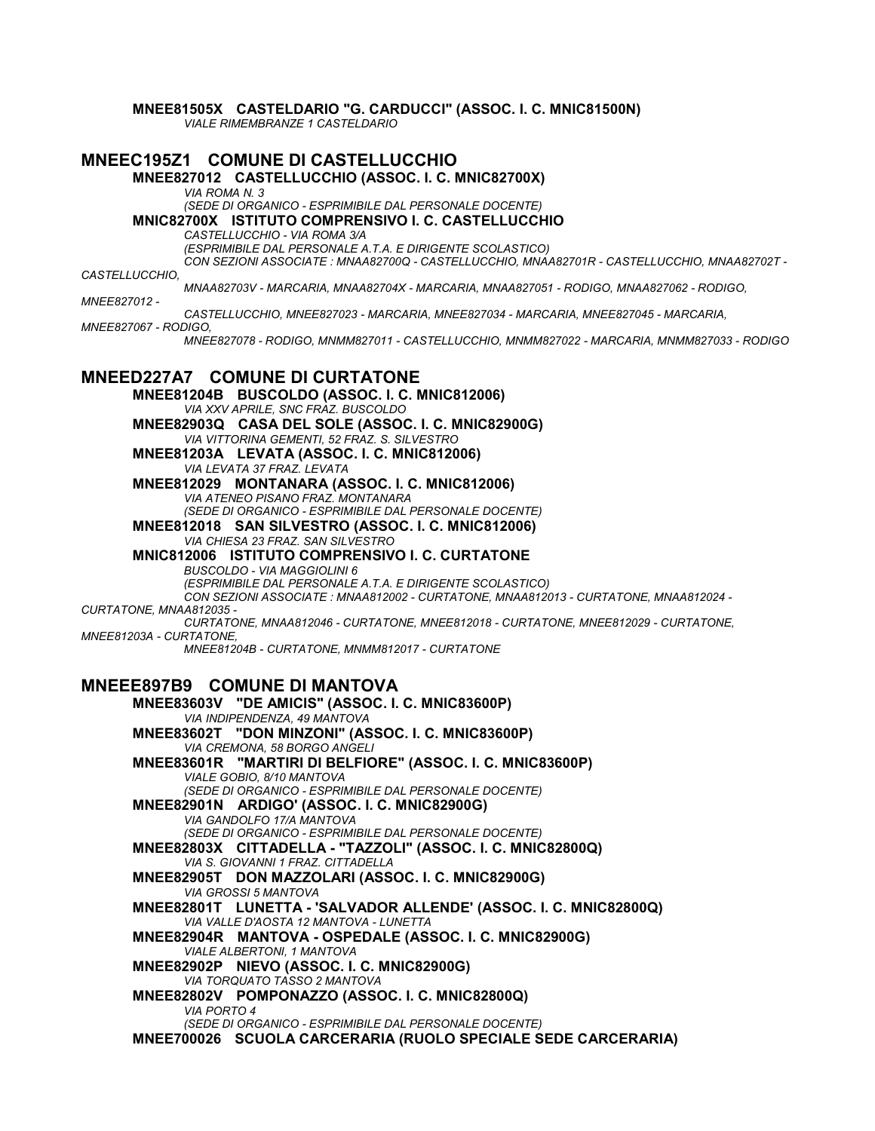**MNEE81505X CASTELDARIO "G. CARDUCCI" (ASSOC. I. C. MNIC81500N)**

*VIALE RIMEMBRANZE 1 CASTELDARIO*

**MNEEC195Z1 COMUNE DI CASTELLUCCHIO MNEE827012 CASTELLUCCHIO (ASSOC. I. C. MNIC82700X)** *VIA ROMA N. 3 (SEDE DI ORGANICO - ESPRIMIBILE DAL PERSONALE DOCENTE)* **MNIC82700X ISTITUTO COMPRENSIVO I. C. CASTELLUCCHIO** *CASTELLUCCHIO - VIA ROMA 3/A (ESPRIMIBILE DAL PERSONALE A.T.A. E DIRIGENTE SCOLASTICO) CON SEZIONI ASSOCIATE : MNAA82700Q - CASTELLUCCHIO, MNAA82701R - CASTELLUCCHIO, MNAA82702T - CASTELLUCCHIO, MNAA82703V - MARCARIA, MNAA82704X - MARCARIA, MNAA827051 - RODIGO, MNAA827062 - RODIGO, MNEE827012 - CASTELLUCCHIO, MNEE827023 - MARCARIA, MNEE827034 - MARCARIA, MNEE827045 - MARCARIA, MNEE827067 - RODIGO, MNEE827078 - RODIGO, MNMM827011 - CASTELLUCCHIO, MNMM827022 - MARCARIA, MNMM827033 - RODIGO* **MNEED227A7 COMUNE DI CURTATONE MNEE81204B BUSCOLDO (ASSOC. I. C. MNIC812006)** *VIA XXV APRILE, SNC FRAZ. BUSCOLDO* **MNEE82903Q CASA DEL SOLE (ASSOC. I. C. MNIC82900G)** *VIA VITTORINA GEMENTI, 52 FRAZ. S. SILVESTRO* **MNEE81203A LEVATA (ASSOC. I. C. MNIC812006)** *VIA LEVATA 37 FRAZ. LEVATA* **MNEE812029 MONTANARA (ASSOC. I. C. MNIC812006)** *VIA ATENEO PISANO FRAZ. MONTANARA (SEDE DI ORGANICO - ESPRIMIBILE DAL PERSONALE DOCENTE)* **MNEE812018 SAN SILVESTRO (ASSOC. I. C. MNIC812006)** *VIA CHIESA 23 FRAZ. SAN SILVESTRO* **MNIC812006 ISTITUTO COMPRENSIVO I. C. CURTATONE** *BUSCOLDO - VIA MAGGIOLINI 6 (ESPRIMIBILE DAL PERSONALE A.T.A. E DIRIGENTE SCOLASTICO) CON SEZIONI ASSOCIATE : MNAA812002 - CURTATONE, MNAA812013 - CURTATONE, MNAA812024 - CURTATONE, MNAA812035 - CURTATONE, MNAA812046 - CURTATONE, MNEE812018 - CURTATONE, MNEE812029 - CURTATONE, MNEE81203A - CURTATONE, MNEE81204B - CURTATONE, MNMM812017 - CURTATONE* **MNEEE897B9 COMUNE DI MANTOVA MNEE83603V "DE AMICIS" (ASSOC. I. C. MNIC83600P)** *VIA INDIPENDENZA, 49 MANTOVA* **MNEE83602T "DON MINZONI" (ASSOC. I. C. MNIC83600P)** *VIA CREMONA, 58 BORGO ANGELI* **MNEE83601R "MARTIRI DI BELFIORE" (ASSOC. I. C. MNIC83600P)** *VIALE GOBIO, 8/10 MANTOVA (SEDE DI ORGANICO - ESPRIMIBILE DAL PERSONALE DOCENTE)* **MNEE82901N ARDIGO' (ASSOC. I. C. MNIC82900G)** *VIA GANDOLFO 17/A MANTOVA (SEDE DI ORGANICO - ESPRIMIBILE DAL PERSONALE DOCENTE)* **MNEE82803X CITTADELLA - "TAZZOLI" (ASSOC. I. C. MNIC82800Q)** *VIA S. GIOVANNI 1 FRAZ. CITTADELLA* **MNEE82905T DON MAZZOLARI (ASSOC. I. C. MNIC82900G)** *VIA GROSSI 5 MANTOVA* **MNEE82801T LUNETTA - 'SALVADOR ALLENDE' (ASSOC. I. C. MNIC82800Q)** *VIA VALLE D'AOSTA 12 MANTOVA - LUNETTA* **MNEE82904R MANTOVA - OSPEDALE (ASSOC. I. C. MNIC82900G)** *VIALE ALBERTONI, 1 MANTOVA* **MNEE82902P NIEVO (ASSOC. I. C. MNIC82900G)** *VIA TORQUATO TASSO 2 MANTOVA* **MNEE82802V POMPONAZZO (ASSOC. I. C. MNIC82800Q)** *VIA PORTO 4 (SEDE DI ORGANICO - ESPRIMIBILE DAL PERSONALE DOCENTE)* **MNEE700026 SCUOLA CARCERARIA (RUOLO SPECIALE SEDE CARCERARIA)**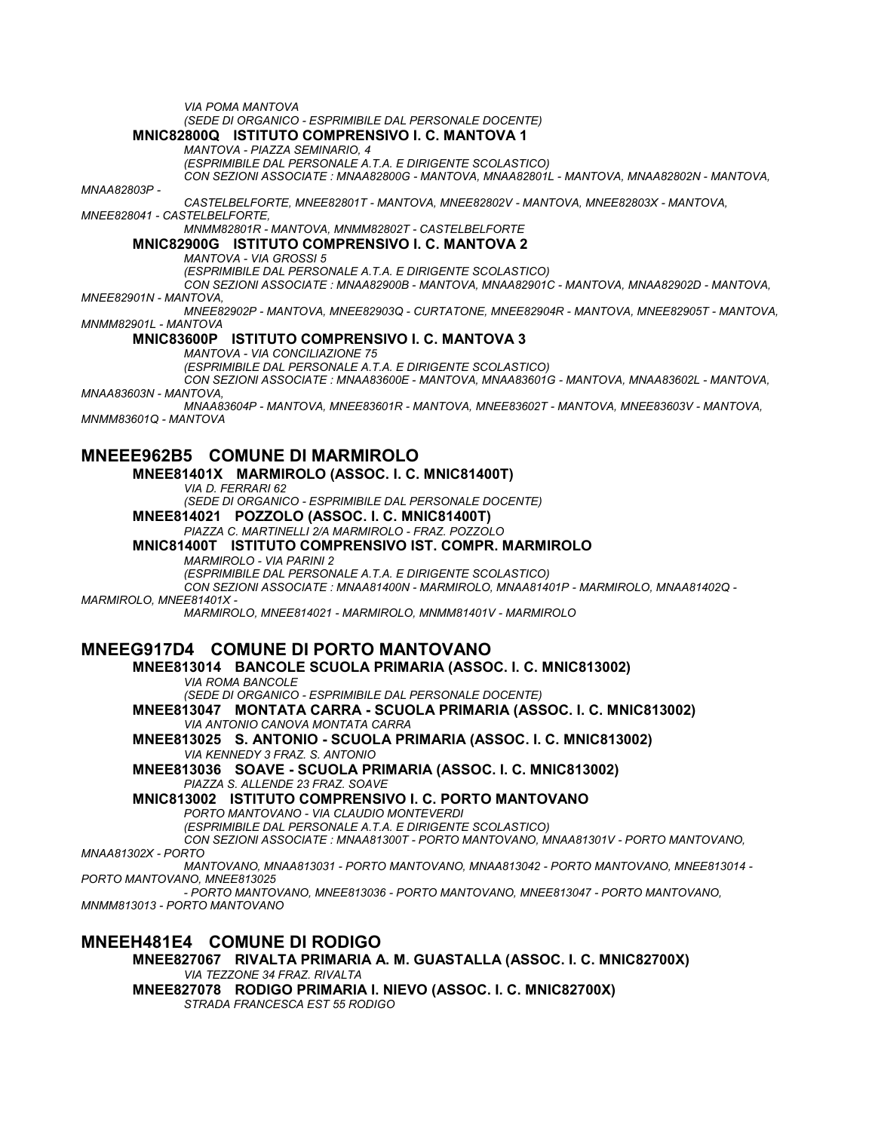*VIA POMA MANTOVA (SEDE DI ORGANICO - ESPRIMIBILE DAL PERSONALE DOCENTE)* **MNIC82800Q ISTITUTO COMPRENSIVO I. C. MANTOVA 1** *MANTOVA - PIAZZA SEMINARIO, 4 (ESPRIMIBILE DAL PERSONALE A.T.A. E DIRIGENTE SCOLASTICO) CON SEZIONI ASSOCIATE : MNAA82800G - MANTOVA, MNAA82801L - MANTOVA, MNAA82802N - MANTOVA, MNAA82803P - CASTELBELFORTE, MNEE82801T - MANTOVA, MNEE82802V - MANTOVA, MNEE82803X - MANTOVA, MNEE828041 - CASTELBELFORTE, MNMM82801R - MANTOVA, MNMM82802T - CASTELBELFORTE* **MNIC82900G ISTITUTO COMPRENSIVO I. C. MANTOVA 2** *MANTOVA - VIA GROSSI 5 (ESPRIMIBILE DAL PERSONALE A.T.A. E DIRIGENTE SCOLASTICO) CON SEZIONI ASSOCIATE : MNAA82900B - MANTOVA, MNAA82901C - MANTOVA, MNAA82902D - MANTOVA, MNEE82901N - MANTOVA, MNEE82902P - MANTOVA, MNEE82903Q - CURTATONE, MNEE82904R - MANTOVA, MNEE82905T - MANTOVA, MNMM82901L - MANTOVA* **MNIC83600P ISTITUTO COMPRENSIVO I. C. MANTOVA 3** *MANTOVA - VIA CONCILIAZIONE 75 (ESPRIMIBILE DAL PERSONALE A.T.A. E DIRIGENTE SCOLASTICO) CON SEZIONI ASSOCIATE : MNAA83600E - MANTOVA, MNAA83601G - MANTOVA, MNAA83602L - MANTOVA, MNAA83603N - MANTOVA, MNAA83604P - MANTOVA, MNEE83601R - MANTOVA, MNEE83602T - MANTOVA, MNEE83603V - MANTOVA, MNMM83601Q - MANTOVA* **MNEEE962B5 COMUNE DI MARMIROLO MNEE81401X MARMIROLO (ASSOC. I. C. MNIC81400T)** *VIA D. FERRARI 62 (SEDE DI ORGANICO - ESPRIMIBILE DAL PERSONALE DOCENTE)* **MNEE814021 POZZOLO (ASSOC. I. C. MNIC81400T)** *PIAZZA C. MARTINELLI 2/A MARMIROLO - FRAZ. POZZOLO* **MNIC81400T ISTITUTO COMPRENSIVO IST. COMPR. MARMIROLO** *MARMIROLO - VIA PARINI 2 (ESPRIMIBILE DAL PERSONALE A.T.A. E DIRIGENTE SCOLASTICO) CON SEZIONI ASSOCIATE : MNAA81400N - MARMIROLO, MNAA81401P - MARMIROLO, MNAA81402Q - MARMIROLO, MNEE81401X - MARMIROLO, MNEE814021 - MARMIROLO, MNMM81401V - MARMIROLO* **MNEEG917D4 COMUNE DI PORTO MANTOVANO MNEE813014 BANCOLE SCUOLA PRIMARIA (ASSOC. I. C. MNIC813002)** *VIA ROMA BANCOLE (SEDE DI ORGANICO - ESPRIMIBILE DAL PERSONALE DOCENTE)* **MNEE813047 MONTATA CARRA - SCUOLA PRIMARIA (ASSOC. I. C. MNIC813002)** *VIA ANTONIO CANOVA MONTATA CARRA* **MNEE813025 S. ANTONIO - SCUOLA PRIMARIA (ASSOC. I. C. MNIC813002)** *VIA KENNEDY 3 FRAZ. S. ANTONIO* **MNEE813036 SOAVE - SCUOLA PRIMARIA (ASSOC. I. C. MNIC813002)** *PIAZZA S. ALLENDE 23 FRAZ. SOAVE* **MNIC813002 ISTITUTO COMPRENSIVO I. C. PORTO MANTOVANO** *PORTO MANTOVANO - VIA CLAUDIO MONTEVERDI (ESPRIMIBILE DAL PERSONALE A.T.A. E DIRIGENTE SCOLASTICO) CON SEZIONI ASSOCIATE : MNAA81300T - PORTO MANTOVANO, MNAA81301V - PORTO MANTOVANO, MNAA81302X - PORTO MANTOVANO, MNAA813031 - PORTO MANTOVANO, MNAA813042 - PORTO MANTOVANO, MNEE813014 - PORTO MANTOVANO, MNEE813025 - PORTO MANTOVANO, MNEE813036 - PORTO MANTOVANO, MNEE813047 - PORTO MANTOVANO, MNMM813013 - PORTO MANTOVANO* **MNEEH481E4 COMUNE DI RODIGO MNEE827067 RIVALTA PRIMARIA A. M. GUASTALLA (ASSOC. I. C. MNIC82700X)**

*VIA TEZZONE 34 FRAZ. RIVALTA* **MNEE827078 RODIGO PRIMARIA I. NIEVO (ASSOC. I. C. MNIC82700X)** *STRADA FRANCESCA EST 55 RODIGO*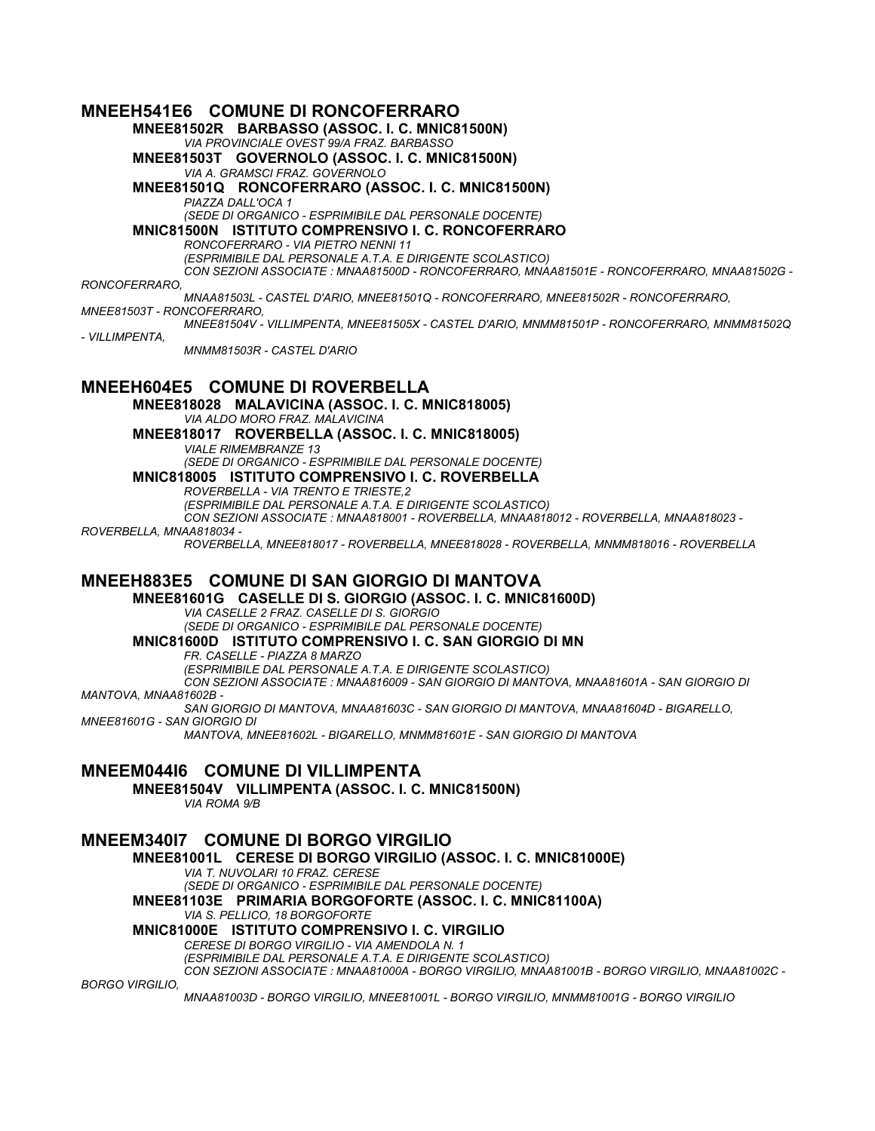## **MNEEH541E6 COMUNE DI RONCOFERRARO**

**MNEE81502R BARBASSO (ASSOC. I. C. MNIC81500N)** *VIA PROVINCIALE OVEST 99/A FRAZ. BARBASSO* **MNEE81503T GOVERNOLO (ASSOC. I. C. MNIC81500N)** *VIA A. GRAMSCI FRAZ. GOVERNOLO* **MNEE81501Q RONCOFERRARO (ASSOC. I. C. MNIC81500N)** *PIAZZA DALL'OCA 1 (SEDE DI ORGANICO - ESPRIMIBILE DAL PERSONALE DOCENTE)* **MNIC81500N ISTITUTO COMPRENSIVO I. C. RONCOFERRARO** *RONCOFERRARO - VIA PIETRO NENNI 11 (ESPRIMIBILE DAL PERSONALE A.T.A. E DIRIGENTE SCOLASTICO) CON SEZIONI ASSOCIATE : MNAA81500D - RONCOFERRARO, MNAA81501E - RONCOFERRARO, MNAA81502G - RONCOFERRARO, MNAA81503L - CASTEL D'ARIO, MNEE81501Q - RONCOFERRARO, MNEE81502R - RONCOFERRARO, MNEE81503T - RONCOFERRARO, MNEE81504V - VILLIMPENTA, MNEE81505X - CASTEL D'ARIO, MNMM81501P - RONCOFERRARO, MNMM81502Q - VILLIMPENTA, MNMM81503R - CASTEL D'ARIO*

### **MNEEH604E5 COMUNE DI ROVERBELLA**

**MNEE818028 MALAVICINA (ASSOC. I. C. MNIC818005)** *VIA ALDO MORO FRAZ. MALAVICINA* **MNEE818017 ROVERBELLA (ASSOC. I. C. MNIC818005)** *VIALE RIMEMBRANZE 13 (SEDE DI ORGANICO - ESPRIMIBILE DAL PERSONALE DOCENTE)*

#### **MNIC818005 ISTITUTO COMPRENSIVO I. C. ROVERBELLA**

*ROVERBELLA - VIA TRENTO E TRIESTE,2*

*(ESPRIMIBILE DAL PERSONALE A.T.A. E DIRIGENTE SCOLASTICO)*

*CON SEZIONI ASSOCIATE : MNAA818001 - ROVERBELLA, MNAA818012 - ROVERBELLA, MNAA818023 -*

#### *ROVERBELLA, MNAA818034 -*

*ROVERBELLA, MNEE818017 - ROVERBELLA, MNEE818028 - ROVERBELLA, MNMM818016 - ROVERBELLA*

### **MNEEH883E5 COMUNE DI SAN GIORGIO DI MANTOVA**

**MNEE81601G CASELLE DI S. GIORGIO (ASSOC. I. C. MNIC81600D)**

*VIA CASELLE 2 FRAZ. CASELLE DI S. GIORGIO (SEDE DI ORGANICO - ESPRIMIBILE DAL PERSONALE DOCENTE)*

### **MNIC81600D ISTITUTO COMPRENSIVO I. C. SAN GIORGIO DI MN**

*FR. CASELLE - PIAZZA 8 MARZO*

*(ESPRIMIBILE DAL PERSONALE A.T.A. E DIRIGENTE SCOLASTICO)*

*CON SEZIONI ASSOCIATE : MNAA816009 - SAN GIORGIO DI MANTOVA, MNAA81601A - SAN GIORGIO DI MANTOVA, MNAA81602B -*

*SAN GIORGIO DI MANTOVA, MNAA81603C - SAN GIORGIO DI MANTOVA, MNAA81604D - BIGARELLO, MNEE81601G - SAN GIORGIO DI*

*MANTOVA, MNEE81602L - BIGARELLO, MNMM81601E - SAN GIORGIO DI MANTOVA*

## **MNEEM044I6 COMUNE DI VILLIMPENTA**

**MNEE81504V VILLIMPENTA (ASSOC. I. C. MNIC81500N)**

*VIA ROMA 9/B* **MNEEM340I7 COMUNE DI BORGO VIRGILIO MNEE81001L CERESE DI BORGO VIRGILIO (ASSOC. I. C. MNIC81000E)** *VIA T. NUVOLARI 10 FRAZ. CERESE (SEDE DI ORGANICO - ESPRIMIBILE DAL PERSONALE DOCENTE)* **MNEE81103E PRIMARIA BORGOFORTE (ASSOC. I. C. MNIC81100A)** *VIA S. PELLICO, 18 BORGOFORTE* **MNIC81000E ISTITUTO COMPRENSIVO I. C. VIRGILIO** *CERESE DI BORGO VIRGILIO - VIA AMENDOLA N. 1 (ESPRIMIBILE DAL PERSONALE A.T.A. E DIRIGENTE SCOLASTICO) CON SEZIONI ASSOCIATE : MNAA81000A - BORGO VIRGILIO, MNAA81001B - BORGO VIRGILIO, MNAA81002C - BORGO VIRGILIO, MNAA81003D - BORGO VIRGILIO, MNEE81001L - BORGO VIRGILIO, MNMM81001G - BORGO VIRGILIO*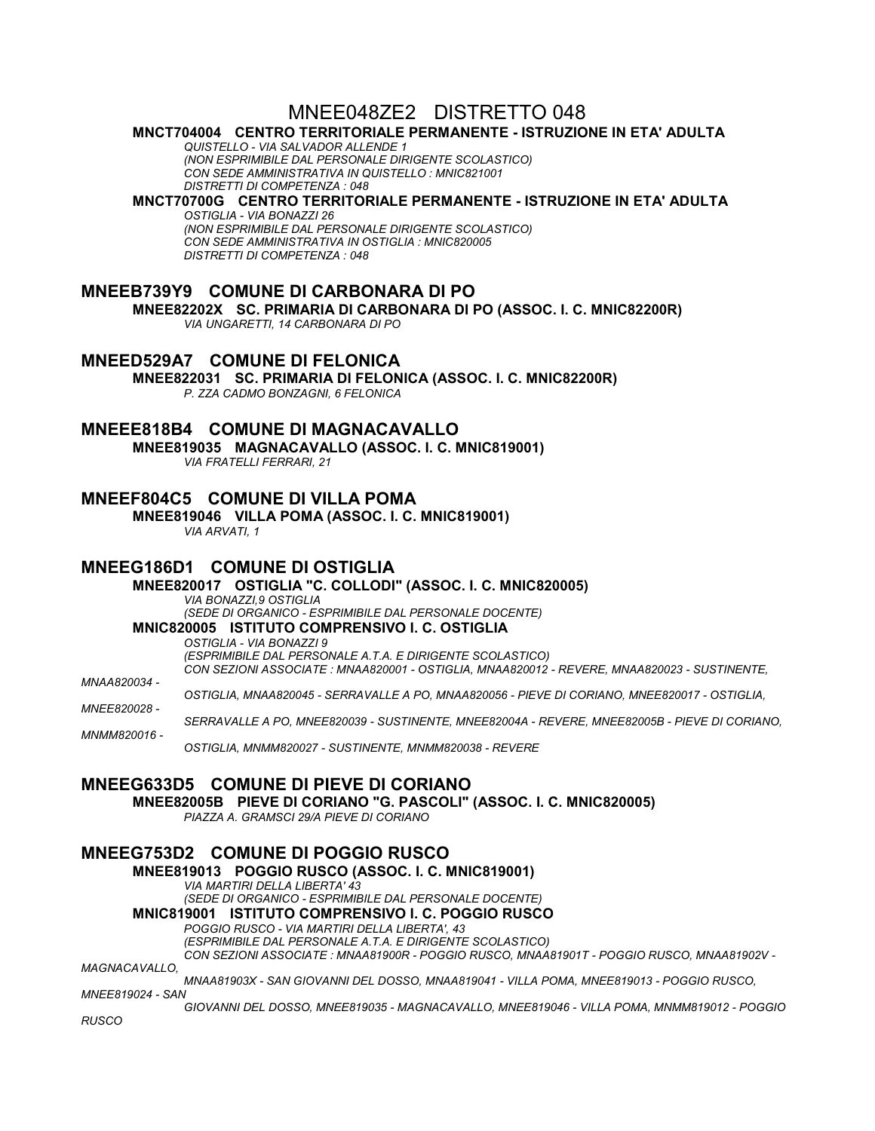## MNEE048ZE2 DISTRETTO 048

#### **MNCT704004 CENTRO TERRITORIALE PERMANENTE - ISTRUZIONE IN ETA' ADULTA**

*QUISTELLO - VIA SALVADOR ALLENDE 1 (NON ESPRIMIBILE DAL PERSONALE DIRIGENTE SCOLASTICO) CON SEDE AMMINISTRATIVA IN QUISTELLO : MNIC821001 DISTRETTI DI COMPETENZA : 048*

## **MNCT70700G CENTRO TERRITORIALE PERMANENTE - ISTRUZIONE IN ETA' ADULTA**

*OSTIGLIA - VIA BONAZZI 26 (NON ESPRIMIBILE DAL PERSONALE DIRIGENTE SCOLASTICO) CON SEDE AMMINISTRATIVA IN OSTIGLIA : MNIC820005 DISTRETTI DI COMPETENZA : 048*

### **MNEEB739Y9 COMUNE DI CARBONARA DI PO**

**MNEE82202X SC. PRIMARIA DI CARBONARA DI PO (ASSOC. I. C. MNIC82200R)** *VIA UNGARETTI, 14 CARBONARA DI PO*

#### **MNEED529A7 COMUNE DI FELONICA**

**MNEE822031 SC. PRIMARIA DI FELONICA (ASSOC. I. C. MNIC82200R)** *P. ZZA CADMO BONZAGNI, 6 FELONICA*

### **MNEEE818B4 COMUNE DI MAGNACAVALLO**

**MNEE819035 MAGNACAVALLO (ASSOC. I. C. MNIC819001)** *VIA FRATELLI FERRARI, 21*

#### **MNEEF804C5 COMUNE DI VILLA POMA**

**MNEE819046 VILLA POMA (ASSOC. I. C. MNIC819001)** *VIA ARVATI, 1*

#### **MNEEG186D1 COMUNE DI OSTIGLIA**

**MNEE820017 OSTIGLIA "C. COLLODI" (ASSOC. I. C. MNIC820005)** *VIA BONAZZI,9 OSTIGLIA (SEDE DI ORGANICO - ESPRIMIBILE DAL PERSONALE DOCENTE)* **MNIC820005 ISTITUTO COMPRENSIVO I. C. OSTIGLIA** *OSTIGLIA - VIA BONAZZI 9 (ESPRIMIBILE DAL PERSONALE A.T.A. E DIRIGENTE SCOLASTICO) CON SEZIONI ASSOCIATE : MNAA820001 - OSTIGLIA, MNAA820012 - REVERE, MNAA820023 - SUSTINENTE, MNAA820034 - OSTIGLIA, MNAA820045 - SERRAVALLE A PO, MNAA820056 - PIEVE DI CORIANO, MNEE820017 - OSTIGLIA,* 

*MNEE820028 -*

*SERRAVALLE A PO, MNEE820039 - SUSTINENTE, MNEE82004A - REVERE, MNEE82005B - PIEVE DI CORIANO,* 

*MNMM820016 - OSTIGLIA, MNMM820027 - SUSTINENTE, MNMM820038 - REVERE*

#### **MNEEG633D5 COMUNE DI PIEVE DI CORIANO**

**MNEE82005B PIEVE DI CORIANO "G. PASCOLI" (ASSOC. I. C. MNIC820005)**

*PIAZZA A. GRAMSCI 29/A PIEVE DI CORIANO*

### **MNEEG753D2 COMUNE DI POGGIO RUSCO**

**MNEE819013 POGGIO RUSCO (ASSOC. I. C. MNIC819001)** *VIA MARTIRI DELLA LIBERTA' 43 (SEDE DI ORGANICO - ESPRIMIBILE DAL PERSONALE DOCENTE)* **MNIC819001 ISTITUTO COMPRENSIVO I. C. POGGIO RUSCO** *POGGIO RUSCO - VIA MARTIRI DELLA LIBERTA', 43 (ESPRIMIBILE DAL PERSONALE A.T.A. E DIRIGENTE SCOLASTICO)*

*CON SEZIONI ASSOCIATE : MNAA81900R - POGGIO RUSCO, MNAA81901T - POGGIO RUSCO, MNAA81902V -*

*MAGNACAVALLO,*

*MNAA81903X - SAN GIOVANNI DEL DOSSO, MNAA819041 - VILLA POMA, MNEE819013 - POGGIO RUSCO, MNEE819024 - SAN*

*GIOVANNI DEL DOSSO, MNEE819035 - MAGNACAVALLO, MNEE819046 - VILLA POMA, MNMM819012 - POGGIO RUSCO*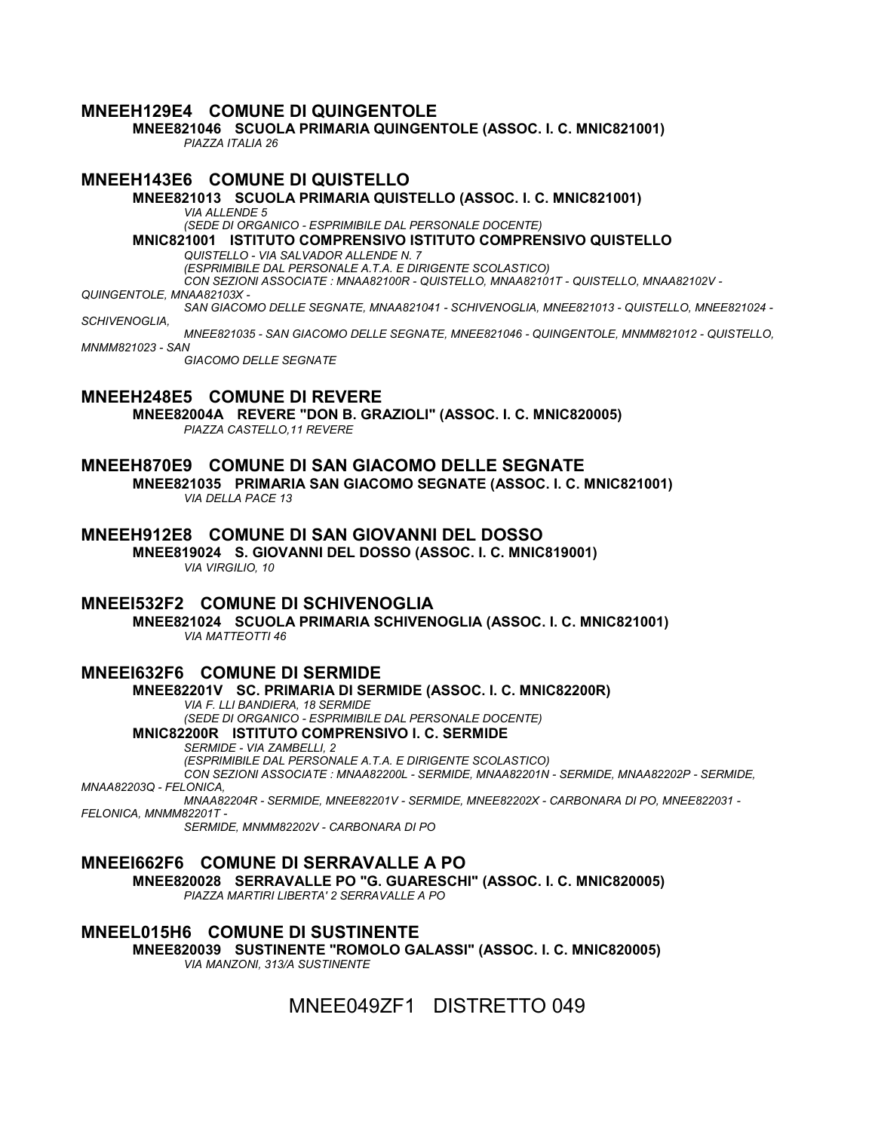### **MNEEH129E4 COMUNE DI QUINGENTOLE**

**MNEE821046 SCUOLA PRIMARIA QUINGENTOLE (ASSOC. I. C. MNIC821001)** *PIAZZA ITALIA 26*

#### **MNEEH143E6 COMUNE DI QUISTELLO MNEE821013 SCUOLA PRIMARIA QUISTELLO (ASSOC. I. C. MNIC821001)**

#### *VIA ALLENDE 5*

*(SEDE DI ORGANICO - ESPRIMIBILE DAL PERSONALE DOCENTE)*

**MNIC821001 ISTITUTO COMPRENSIVO ISTITUTO COMPRENSIVO QUISTELLO**

*QUISTELLO - VIA SALVADOR ALLENDE N. 7*

*(ESPRIMIBILE DAL PERSONALE A.T.A. E DIRIGENTE SCOLASTICO)*

*CON SEZIONI ASSOCIATE : MNAA82100R - QUISTELLO, MNAA82101T - QUISTELLO, MNAA82102V -*

*QUINGENTOLE, MNAA82103X -*

*SAN GIACOMO DELLE SEGNATE, MNAA821041 - SCHIVENOGLIA, MNEE821013 - QUISTELLO, MNEE821024 -*

*SCHIVENOGLIA,*

*MNEE821035 - SAN GIACOMO DELLE SEGNATE, MNEE821046 - QUINGENTOLE, MNMM821012 - QUISTELLO, MNMM821023 - SAN*

*GIACOMO DELLE SEGNATE*

## **MNEEH248E5 COMUNE DI REVERE**

**MNEE82004A REVERE "DON B. GRAZIOLI" (ASSOC. I. C. MNIC820005)** *PIAZZA CASTELLO,11 REVERE*

### **MNEEH870E9 COMUNE DI SAN GIACOMO DELLE SEGNATE**

**MNEE821035 PRIMARIA SAN GIACOMO SEGNATE (ASSOC. I. C. MNIC821001)** *VIA DELLA PACE 13*

**MNEEH912E8 COMUNE DI SAN GIOVANNI DEL DOSSO MNEE819024 S. GIOVANNI DEL DOSSO (ASSOC. I. C. MNIC819001)** *VIA VIRGILIO, 10*

### **MNEEI532F2 COMUNE DI SCHIVENOGLIA**

**MNEE821024 SCUOLA PRIMARIA SCHIVENOGLIA (ASSOC. I. C. MNIC821001)** *VIA MATTEOTTI 46*

### **MNEEI632F6 COMUNE DI SERMIDE**

**MNEE82201V SC. PRIMARIA DI SERMIDE (ASSOC. I. C. MNIC82200R)**

*VIA F. LLI BANDIERA, 18 SERMIDE (SEDE DI ORGANICO - ESPRIMIBILE DAL PERSONALE DOCENTE)*

#### **MNIC82200R ISTITUTO COMPRENSIVO I. C. SERMIDE** *SERMIDE - VIA ZAMBELLI, 2*

*(ESPRIMIBILE DAL PERSONALE A.T.A. E DIRIGENTE SCOLASTICO) CON SEZIONI ASSOCIATE : MNAA82200L - SERMIDE, MNAA82201N - SERMIDE, MNAA82202P - SERMIDE,* 

*MNAA82203Q - FELONICA,*

*MNAA82204R - SERMIDE, MNEE82201V - SERMIDE, MNEE82202X - CARBONARA DI PO, MNEE822031 - FELONICA, MNMM82201T -*

*SERMIDE, MNMM82202V - CARBONARA DI PO*

### **MNEEI662F6 COMUNE DI SERRAVALLE A PO**

**MNEE820028 SERRAVALLE PO "G. GUARESCHI" (ASSOC. I. C. MNIC820005)** *PIAZZA MARTIRI LIBERTA' 2 SERRAVALLE A PO*

**MNEEL015H6 COMUNE DI SUSTINENTE MNEE820039 SUSTINENTE "ROMOLO GALASSI" (ASSOC. I. C. MNIC820005)** *VIA MANZONI, 313/A SUSTINENTE*

MNEE049ZF1 DISTRETTO 049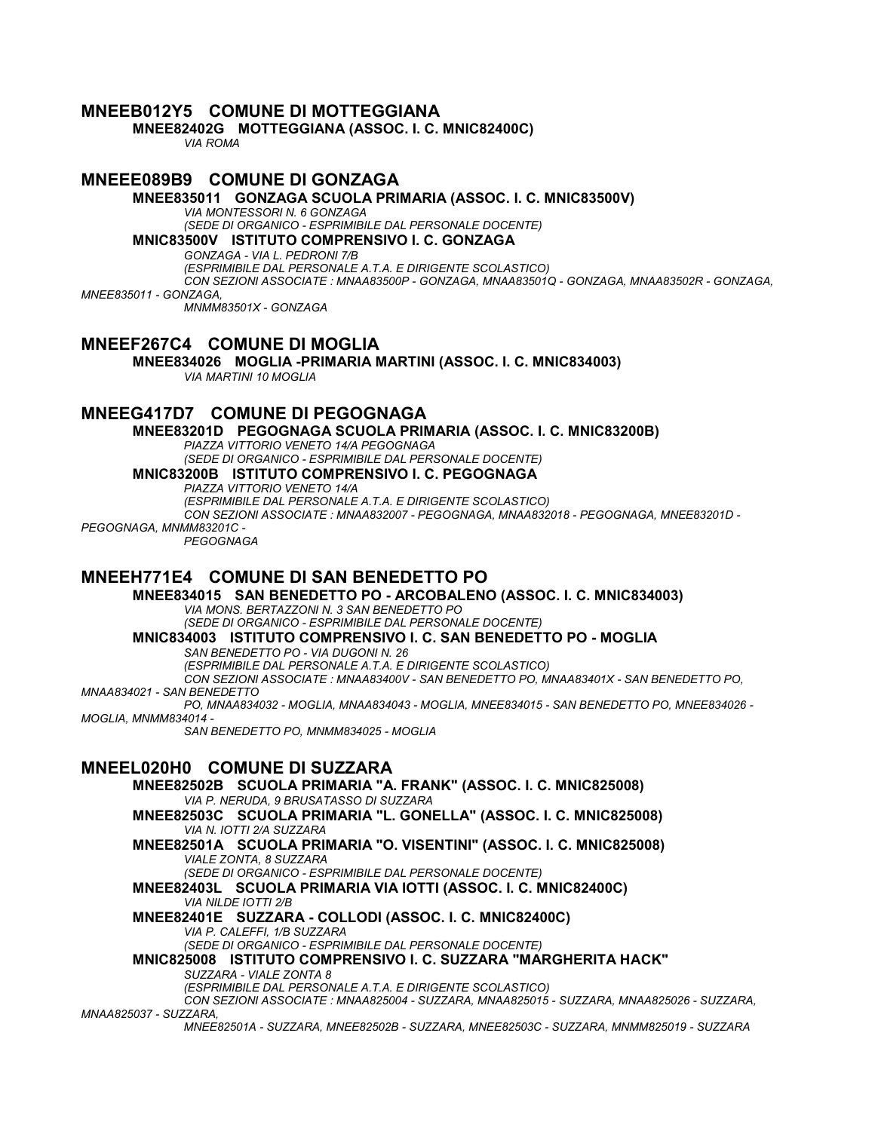### **MNEEB012Y5 COMUNE DI MOTTEGGIANA**

**MNEE82402G MOTTEGGIANA (ASSOC. I. C. MNIC82400C)** *VIA ROMA*

### **MNEEE089B9 COMUNE DI GONZAGA**

**MNEE835011 GONZAGA SCUOLA PRIMARIA (ASSOC. I. C. MNIC83500V)**

*VIA MONTESSORI N. 6 GONZAGA*

*(SEDE DI ORGANICO - ESPRIMIBILE DAL PERSONALE DOCENTE)* **MNIC83500V ISTITUTO COMPRENSIVO I. C. GONZAGA**

*GONZAGA - VIA L. PEDRONI 7/B*

*(ESPRIMIBILE DAL PERSONALE A.T.A. E DIRIGENTE SCOLASTICO) CON SEZIONI ASSOCIATE : MNAA83500P - GONZAGA, MNAA83501Q - GONZAGA, MNAA83502R - GONZAGA, MNEE835011 - GONZAGA, MNMM83501X - GONZAGA*

### **MNEEF267C4 COMUNE DI MOGLIA**

**MNEE834026 MOGLIA -PRIMARIA MARTINI (ASSOC. I. C. MNIC834003)** *VIA MARTINI 10 MOGLIA*

### **MNEEG417D7 COMUNE DI PEGOGNAGA**

**MNEE83201D PEGOGNAGA SCUOLA PRIMARIA (ASSOC. I. C. MNIC83200B)**

*PIAZZA VITTORIO VENETO 14/A PEGOGNAGA*

*(SEDE DI ORGANICO - ESPRIMIBILE DAL PERSONALE DOCENTE)*

**MNIC83200B ISTITUTO COMPRENSIVO I. C. PEGOGNAGA**

*PIAZZA VITTORIO VENETO 14/A*

*(ESPRIMIBILE DAL PERSONALE A.T.A. E DIRIGENTE SCOLASTICO) CON SEZIONI ASSOCIATE : MNAA832007 - PEGOGNAGA, MNAA832018 - PEGOGNAGA, MNEE83201D - PEGOGNAGA, MNMM83201C -*

*PEGOGNAGA*

### **MNEEH771E4 COMUNE DI SAN BENEDETTO PO**

**MNEE834015 SAN BENEDETTO PO - ARCOBALENO (ASSOC. I. C. MNIC834003)** *VIA MONS. BERTAZZONI N. 3 SAN BENEDETTO PO (SEDE DI ORGANICO - ESPRIMIBILE DAL PERSONALE DOCENTE)*

**MNIC834003 ISTITUTO COMPRENSIVO I. C. SAN BENEDETTO PO - MOGLIA**

*SAN BENEDETTO PO - VIA DUGONI N. 26*

*(ESPRIMIBILE DAL PERSONALE A.T.A. E DIRIGENTE SCOLASTICO)*

*CON SEZIONI ASSOCIATE : MNAA83400V - SAN BENEDETTO PO, MNAA83401X - SAN BENEDETTO PO,* 

*MNAA834021 - SAN BENEDETTO*

*PO, MNAA834032 - MOGLIA, MNAA834043 - MOGLIA, MNEE834015 - SAN BENEDETTO PO, MNEE834026 - MOGLIA, MNMM834014 -*

*SAN BENEDETTO PO, MNMM834025 - MOGLIA*

## **MNEEL020H0 COMUNE DI SUZZARA**

**MNEE82502B SCUOLA PRIMARIA "A. FRANK" (ASSOC. I. C. MNIC825008)** *VIA P. NERUDA, 9 BRUSATASSO DI SUZZARA* **MNEE82503C SCUOLA PRIMARIA "L. GONELLA" (ASSOC. I. C. MNIC825008)** *VIA N. IOTTI 2/A SUZZARA* **MNEE82501A SCUOLA PRIMARIA "O. VISENTINI" (ASSOC. I. C. MNIC825008)** *VIALE ZONTA, 8 SUZZARA (SEDE DI ORGANICO - ESPRIMIBILE DAL PERSONALE DOCENTE)* **MNEE82403L SCUOLA PRIMARIA VIA IOTTI (ASSOC. I. C. MNIC82400C)** *VIA NILDE IOTTI 2/B* **MNEE82401E SUZZARA - COLLODI (ASSOC. I. C. MNIC82400C)** *VIA P. CALEFFI, 1/B SUZZARA (SEDE DI ORGANICO - ESPRIMIBILE DAL PERSONALE DOCENTE)* **MNIC825008 ISTITUTO COMPRENSIVO I. C. SUZZARA "MARGHERITA HACK"** *SUZZARA - VIALE ZONTA 8 (ESPRIMIBILE DAL PERSONALE A.T.A. E DIRIGENTE SCOLASTICO) CON SEZIONI ASSOCIATE : MNAA825004 - SUZZARA, MNAA825015 - SUZZARA, MNAA825026 - SUZZARA, MNAA825037 - SUZZARA,*

*MNEE82501A - SUZZARA, MNEE82502B - SUZZARA, MNEE82503C - SUZZARA, MNMM825019 - SUZZARA*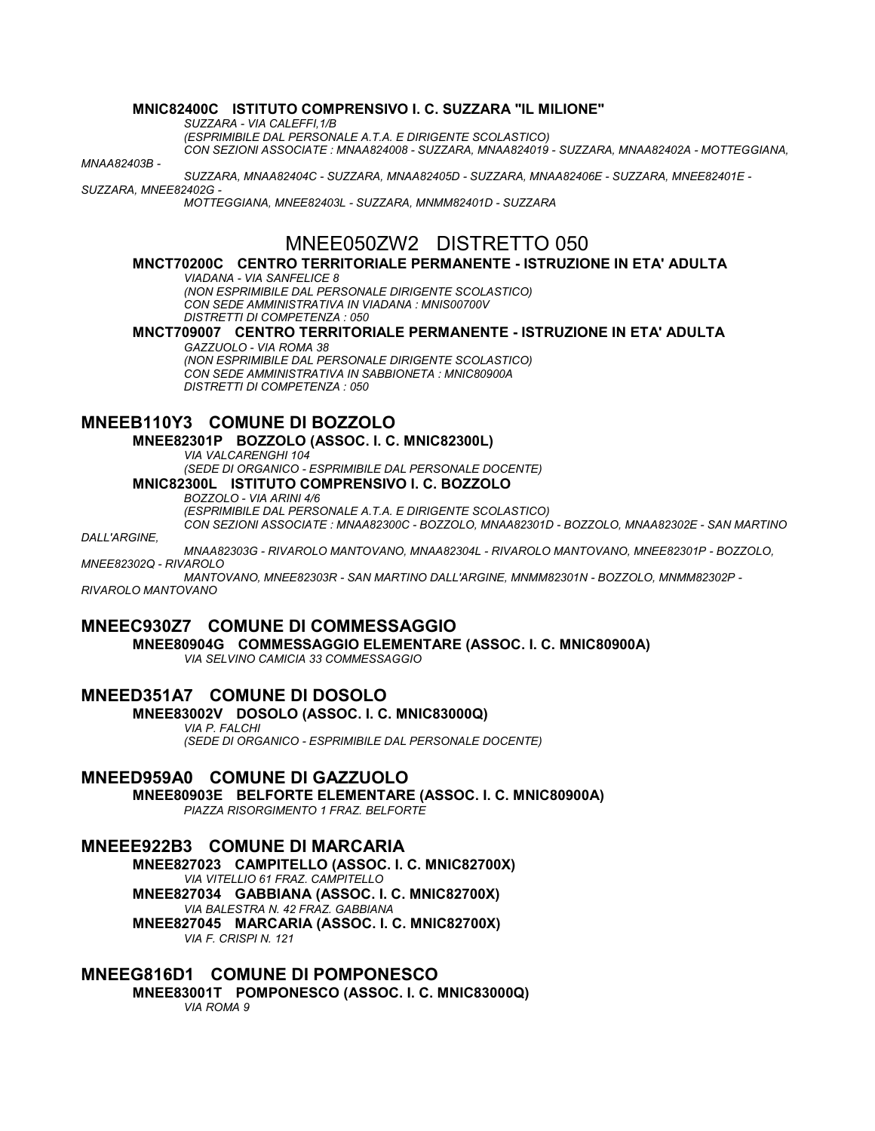#### **MNIC82400C ISTITUTO COMPRENSIVO I. C. SUZZARA "IL MILIONE"**

*SUZZARA - VIA CALEFFI,1/B*

*(ESPRIMIBILE DAL PERSONALE A.T.A. E DIRIGENTE SCOLASTICO)*

*CON SEZIONI ASSOCIATE : MNAA824008 - SUZZARA, MNAA824019 - SUZZARA, MNAA82402A - MOTTEGGIANA,* 

*MNAA82403B -*

*SUZZARA, MNAA82404C - SUZZARA, MNAA82405D - SUZZARA, MNAA82406E - SUZZARA, MNEE82401E -*

#### *SUZZARA, MNEE82402G -*

*MOTTEGGIANA, MNEE82403L - SUZZARA, MNMM82401D - SUZZARA*

# MNEE050ZW2 DISTRETTO 050

#### **MNCT70200C CENTRO TERRITORIALE PERMANENTE - ISTRUZIONE IN ETA' ADULTA**

#### *VIADANA - VIA SANFELICE 8*

*(NON ESPRIMIBILE DAL PERSONALE DIRIGENTE SCOLASTICO) CON SEDE AMMINISTRATIVA IN VIADANA : MNIS00700V DISTRETTI DI COMPETENZA : 050*

#### **MNCT709007 CENTRO TERRITORIALE PERMANENTE - ISTRUZIONE IN ETA' ADULTA**

*GAZZUOLO - VIA ROMA 38 (NON ESPRIMIBILE DAL PERSONALE DIRIGENTE SCOLASTICO) CON SEDE AMMINISTRATIVA IN SABBIONETA : MNIC80900A DISTRETTI DI COMPETENZA : 050*

## **MNEEB110Y3 COMUNE DI BOZZOLO**

#### **MNEE82301P BOZZOLO (ASSOC. I. C. MNIC82300L)**

*VIA VALCARENGHI 104*

#### *(SEDE DI ORGANICO - ESPRIMIBILE DAL PERSONALE DOCENTE)* **MNIC82300L ISTITUTO COMPRENSIVO I. C. BOZZOLO**

*BOZZOLO - VIA ARINI 4/6*

*(ESPRIMIBILE DAL PERSONALE A.T.A. E DIRIGENTE SCOLASTICO) CON SEZIONI ASSOCIATE : MNAA82300C - BOZZOLO, MNAA82301D - BOZZOLO, MNAA82302E - SAN MARTINO* 

*DALL'ARGINE,*

*MNAA82303G - RIVAROLO MANTOVANO, MNAA82304L - RIVAROLO MANTOVANO, MNEE82301P - BOZZOLO, MNEE82302Q - RIVAROLO*

*MANTOVANO, MNEE82303R - SAN MARTINO DALL'ARGINE, MNMM82301N - BOZZOLO, MNMM82302P - RIVAROLO MANTOVANO*

### **MNEEC930Z7 COMUNE DI COMMESSAGGIO**

**MNEE80904G COMMESSAGGIO ELEMENTARE (ASSOC. I. C. MNIC80900A)** *VIA SELVINO CAMICIA 33 COMMESSAGGIO*

# **MNEED351A7 COMUNE DI DOSOLO**

**MNEE83002V DOSOLO (ASSOC. I. C. MNIC83000Q)**

#### *VIA P. FALCHI (SEDE DI ORGANICO - ESPRIMIBILE DAL PERSONALE DOCENTE)*

### **MNEED959A0 COMUNE DI GAZZUOLO**

**MNEE80903E BELFORTE ELEMENTARE (ASSOC. I. C. MNIC80900A)** *PIAZZA RISORGIMENTO 1 FRAZ. BELFORTE*

### **MNEEE922B3 COMUNE DI MARCARIA**

**MNEE827023 CAMPITELLO (ASSOC. I. C. MNIC82700X)** *VIA VITELLIO 61 FRAZ. CAMPITELLO* **MNEE827034 GABBIANA (ASSOC. I. C. MNIC82700X)** *VIA BALESTRA N. 42 FRAZ. GABBIANA* **MNEE827045 MARCARIA (ASSOC. I. C. MNIC82700X)** *VIA F. CRISPI N. 121*

## **MNEEG816D1 COMUNE DI POMPONESCO**

**MNEE83001T POMPONESCO (ASSOC. I. C. MNIC83000Q)** *VIA ROMA 9*